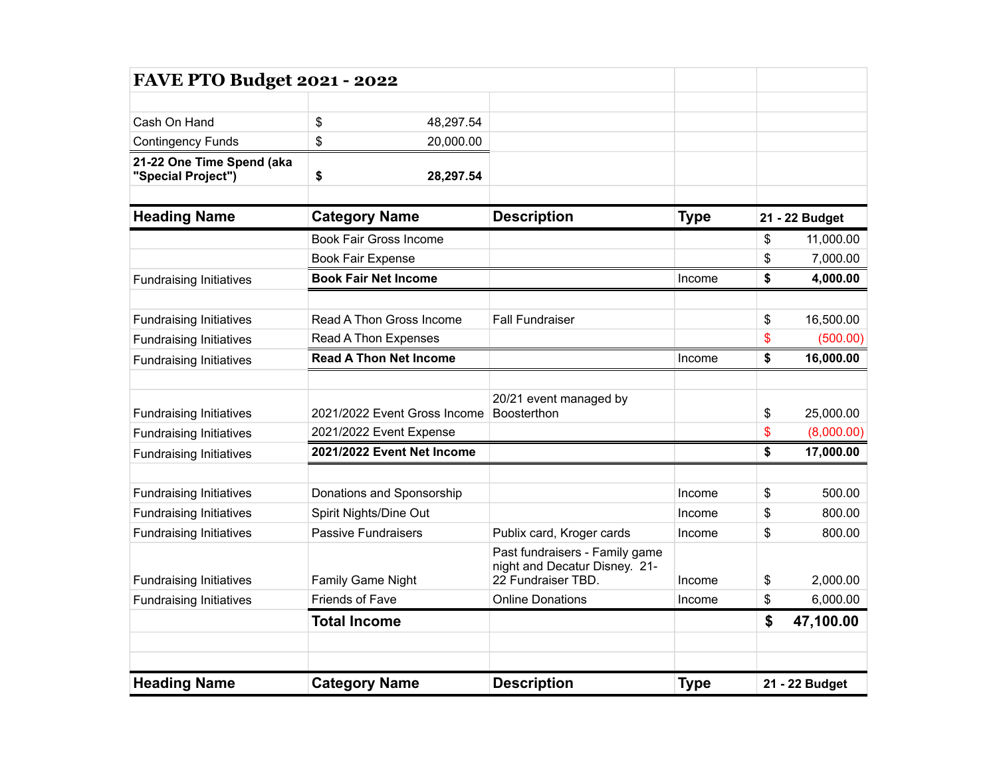| <b>FAVE PTO Budget 2021 - 2022</b>              |                                                                            |           |                                                                                       |             |                  |  |
|-------------------------------------------------|----------------------------------------------------------------------------|-----------|---------------------------------------------------------------------------------------|-------------|------------------|--|
|                                                 |                                                                            |           |                                                                                       |             |                  |  |
| Cash On Hand                                    | \$                                                                         | 48,297.54 |                                                                                       |             |                  |  |
| <b>Contingency Funds</b>                        | \$<br>20,000.00                                                            |           |                                                                                       |             |                  |  |
| 21-22 One Time Spend (aka<br>"Special Project") | \$                                                                         | 28,297.54 |                                                                                       |             |                  |  |
| <b>Heading Name</b>                             | <b>Category Name</b><br>Book Fair Gross Income<br><b>Book Fair Expense</b> |           | <b>Description</b>                                                                    | <b>Type</b> | 21 - 22 Budget   |  |
|                                                 |                                                                            |           |                                                                                       |             | \$<br>11,000.00  |  |
|                                                 |                                                                            |           |                                                                                       |             | \$<br>7,000.00   |  |
| <b>Fundraising Initiatives</b>                  | <b>Book Fair Net Income</b>                                                |           |                                                                                       | Income      | \$<br>4,000.00   |  |
| <b>Fundraising Initiatives</b>                  | Read A Thon Gross Income                                                   |           | <b>Fall Fundraiser</b>                                                                |             | \$<br>16,500.00  |  |
| <b>Fundraising Initiatives</b>                  | Read A Thon Expenses                                                       |           |                                                                                       |             | \$<br>(500.00)   |  |
| <b>Fundraising Initiatives</b>                  | <b>Read A Thon Net Income</b>                                              |           |                                                                                       | Income      | \$<br>16,000.00  |  |
|                                                 |                                                                            |           |                                                                                       |             |                  |  |
|                                                 |                                                                            |           | 20/21 event managed by                                                                |             |                  |  |
| <b>Fundraising Initiatives</b>                  | 2021/2022 Event Gross Income                                               |           | <b>Boosterthon</b>                                                                    |             | \$<br>25,000.00  |  |
| <b>Fundraising Initiatives</b>                  | 2021/2022 Event Expense                                                    |           |                                                                                       |             | \$<br>(8,000.00) |  |
| <b>Fundraising Initiatives</b>                  | 2021/2022 Event Net Income                                                 |           |                                                                                       |             | \$<br>17,000.00  |  |
| <b>Fundraising Initiatives</b>                  | Donations and Sponsorship                                                  |           |                                                                                       | Income      | \$<br>500.00     |  |
| <b>Fundraising Initiatives</b>                  | Spirit Nights/Dine Out                                                     |           |                                                                                       | Income      | \$<br>800.00     |  |
| <b>Fundraising Initiatives</b>                  | <b>Passive Fundraisers</b>                                                 |           | Publix card, Kroger cards                                                             | Income      | \$<br>800.00     |  |
| <b>Fundraising Initiatives</b>                  | Family Game Night                                                          |           | Past fundraisers - Family game<br>night and Decatur Disney. 21-<br>22 Fundraiser TBD. | Income      | \$<br>2,000.00   |  |
| <b>Fundraising Initiatives</b>                  | Friends of Fave                                                            |           | <b>Online Donations</b>                                                               | Income      | \$<br>6,000.00   |  |
|                                                 | <b>Total Income</b>                                                        |           |                                                                                       |             | \$<br>47,100.00  |  |
|                                                 |                                                                            |           |                                                                                       |             |                  |  |
| <b>Heading Name</b>                             | <b>Category Name</b>                                                       |           | <b>Description</b>                                                                    | <b>Type</b> | 21 - 22 Budget   |  |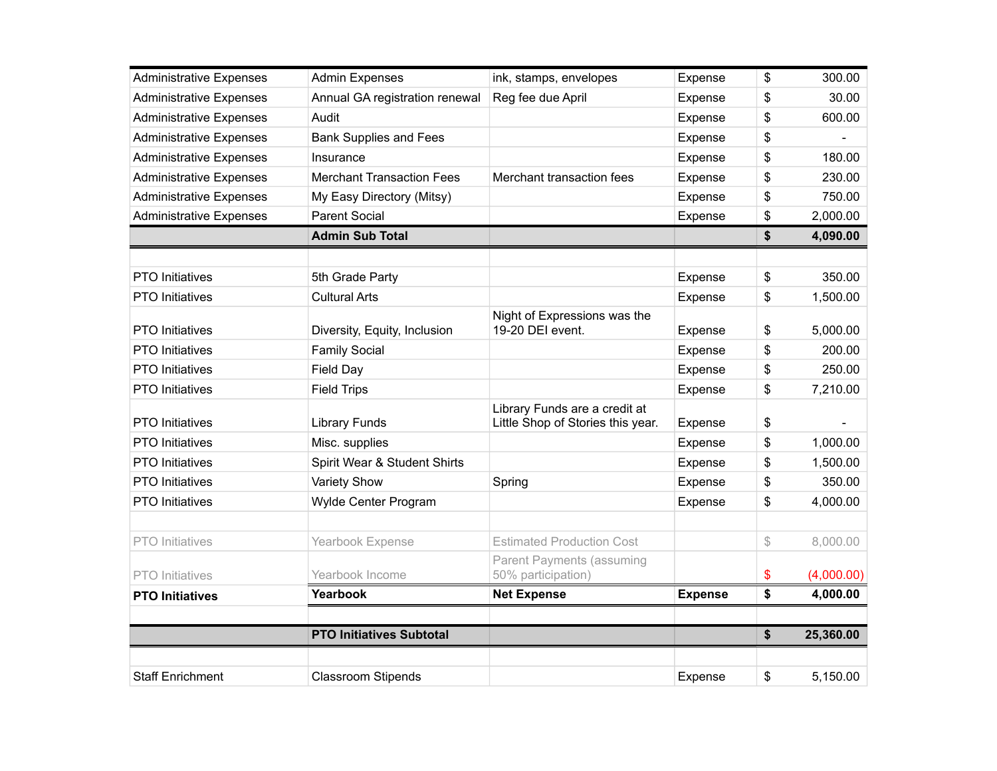| <b>Administrative Expenses</b> | <b>Admin Expenses</b>            | ink, stamps, envelopes                                             | Expense        | \$<br>300.00     |
|--------------------------------|----------------------------------|--------------------------------------------------------------------|----------------|------------------|
| <b>Administrative Expenses</b> | Annual GA registration renewal   | Reg fee due April                                                  | Expense        | \$<br>30.00      |
| <b>Administrative Expenses</b> | Audit                            |                                                                    | Expense        | \$<br>600.00     |
| <b>Administrative Expenses</b> | <b>Bank Supplies and Fees</b>    |                                                                    | Expense        | \$               |
| <b>Administrative Expenses</b> | Insurance                        |                                                                    | Expense        | \$<br>180.00     |
| <b>Administrative Expenses</b> | <b>Merchant Transaction Fees</b> | Merchant transaction fees                                          | Expense        | \$<br>230.00     |
| <b>Administrative Expenses</b> | My Easy Directory (Mitsy)        |                                                                    | Expense        | \$<br>750.00     |
| <b>Administrative Expenses</b> | <b>Parent Social</b>             |                                                                    | Expense        | \$<br>2,000.00   |
|                                | <b>Admin Sub Total</b>           |                                                                    |                | \$<br>4,090.00   |
|                                |                                  |                                                                    |                |                  |
| <b>PTO</b> Initiatives         | 5th Grade Party                  |                                                                    | Expense        | \$<br>350.00     |
| <b>PTO</b> Initiatives         | <b>Cultural Arts</b>             |                                                                    | Expense        | \$<br>1,500.00   |
|                                |                                  | Night of Expressions was the                                       |                |                  |
| <b>PTO</b> Initiatives         | Diversity, Equity, Inclusion     | 19-20 DEI event.                                                   | Expense        | \$<br>5,000.00   |
| <b>PTO</b> Initiatives         | <b>Family Social</b>             |                                                                    | Expense        | \$<br>200.00     |
| <b>PTO</b> Initiatives         | <b>Field Day</b>                 |                                                                    | Expense        | \$<br>250.00     |
| <b>PTO</b> Initiatives         | <b>Field Trips</b>               |                                                                    | Expense        | \$<br>7,210.00   |
| <b>PTO</b> Initiatives         | <b>Library Funds</b>             | Library Funds are a credit at<br>Little Shop of Stories this year. | Expense        | \$               |
| <b>PTO</b> Initiatives         | Misc. supplies                   |                                                                    | Expense        | \$<br>1,000.00   |
| PTO Initiatives                | Spirit Wear & Student Shirts     |                                                                    | Expense        | \$<br>1,500.00   |
| <b>PTO Initiatives</b>         | <b>Variety Show</b>              | Spring                                                             | Expense        | \$<br>350.00     |
| <b>PTO Initiatives</b>         | Wylde Center Program             |                                                                    | Expense        | \$<br>4,000.00   |
| <b>PTO</b> Initiatives         | Yearbook Expense                 | <b>Estimated Production Cost</b>                                   |                | \$<br>8,000.00   |
| <b>PTO</b> Initiatives         | Yearbook Income                  | <b>Parent Payments (assuming</b><br>50% participation)             |                | \$<br>(4,000.00) |
| <b>PTO Initiatives</b>         | Yearbook                         | <b>Net Expense</b>                                                 | <b>Expense</b> | \$<br>4,000.00   |
|                                |                                  |                                                                    |                |                  |
|                                | <b>PTO Initiatives Subtotal</b>  |                                                                    |                | \$<br>25,360.00  |
|                                |                                  |                                                                    |                |                  |
| <b>Staff Enrichment</b>        | <b>Classroom Stipends</b>        |                                                                    | Expense        | \$<br>5,150.00   |